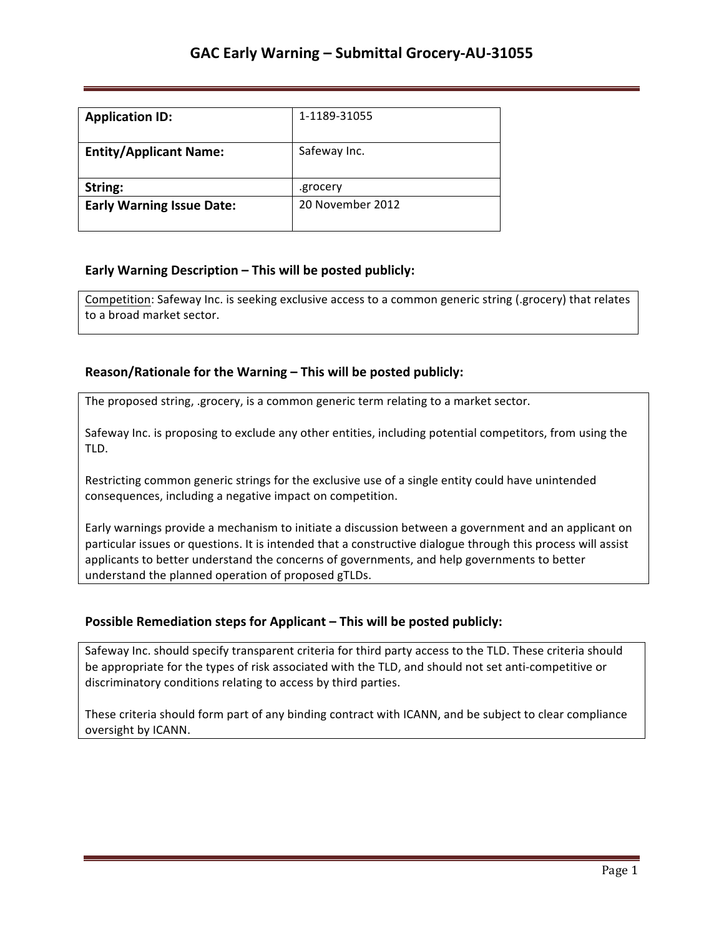| <b>Application ID:</b>           | 1-1189-31055     |
|----------------------------------|------------------|
| <b>Entity/Applicant Name:</b>    | Safeway Inc.     |
| String:                          | .grocery         |
| <b>Early Warning Issue Date:</b> | 20 November 2012 |

### **Early Warning Description – This will be posted publicly:**

Competition: Safeway Inc. is seeking exclusive access to a common generic string (.grocery) that relates to a broad market sector.

### **Reason/Rationale for the Warning – This will be posted publicly:**

The proposed string, .grocery, is a common generic term relating to a market sector.

Safeway Inc. is proposing to exclude any other entities, including potential competitors, from using the TLD. 

Restricting common generic strings for the exclusive use of a single entity could have unintended consequences, including a negative impact on competition.

Early warnings provide a mechanism to initiate a discussion between a government and an applicant on particular issues or questions. It is intended that a constructive dialogue through this process will assist applicants to better understand the concerns of governments, and help governments to better understand the planned operation of proposed gTLDs.

### **Possible Remediation steps for Applicant – This will be posted publicly:**

Safeway Inc. should specify transparent criteria for third party access to the TLD. These criteria should be appropriate for the types of risk associated with the TLD, and should not set anti-competitive or discriminatory conditions relating to access by third parties.

These criteria should form part of any binding contract with ICANN, and be subject to clear compliance oversight by ICANN.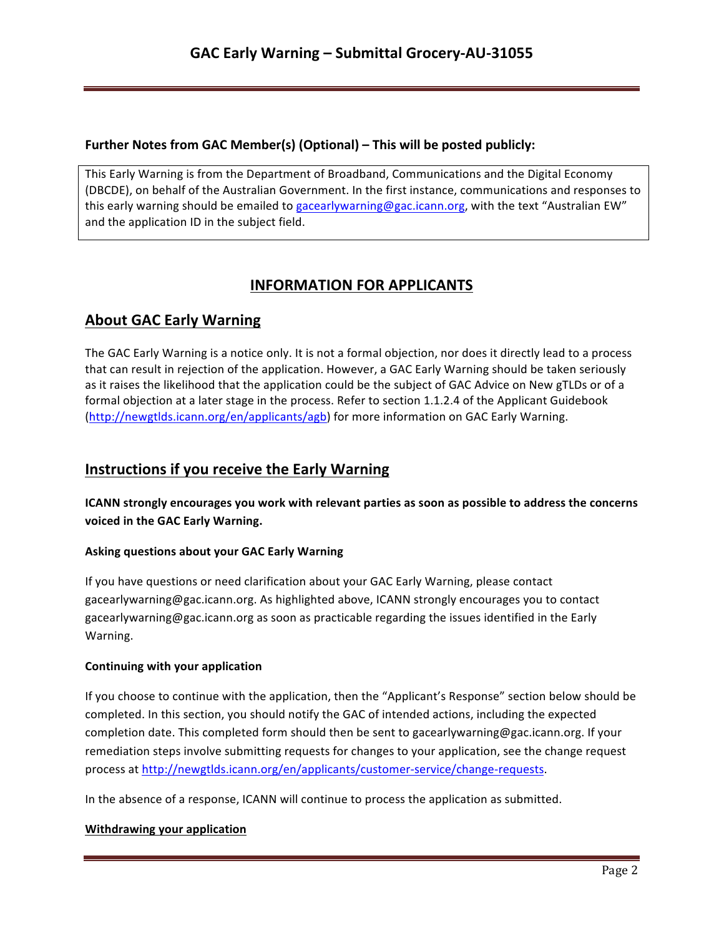## **Further Notes from GAC Member(s) (Optional) – This will be posted publicly:**

This Early Warning is from the Department of Broadband, Communications and the Digital Economy (DBCDE), on behalf of the Australian Government. In the first instance, communications and responses to this early warning should be emailed to gacearlywarning@gac.icann.org, with the text "Australian EW" and the application ID in the subject field.

# **INFORMATION FOR APPLICANTS**

# **About GAC Early Warning**

The GAC Early Warning is a notice only. It is not a formal objection, nor does it directly lead to a process that can result in rejection of the application. However, a GAC Early Warning should be taken seriously as it raises the likelihood that the application could be the subject of GAC Advice on New gTLDs or of a formal objection at a later stage in the process. Refer to section 1.1.2.4 of the Applicant Guidebook (http://newgtlds.icann.org/en/applicants/agb) for more information on GAC Early Warning.

## **Instructions if you receive the Early Warning**

**ICANN** strongly encourages you work with relevant parties as soon as possible to address the concerns voiced in the GAC Early Warning.

### **Asking questions about your GAC Early Warning**

If you have questions or need clarification about your GAC Early Warning, please contact gacearlywarning@gac.icann.org. As highlighted above, ICANN strongly encourages you to contact gacearlywarning@gac.icann.org as soon as practicable regarding the issues identified in the Early Warning. 

### **Continuing with your application**

If you choose to continue with the application, then the "Applicant's Response" section below should be completed. In this section, you should notify the GAC of intended actions, including the expected completion date. This completed form should then be sent to gacearlywarning@gac.icann.org. If your remediation steps involve submitting requests for changes to your application, see the change request process at http://newgtlds.icann.org/en/applicants/customer-service/change-requests.

In the absence of a response, ICANN will continue to process the application as submitted.

### **Withdrawing your application**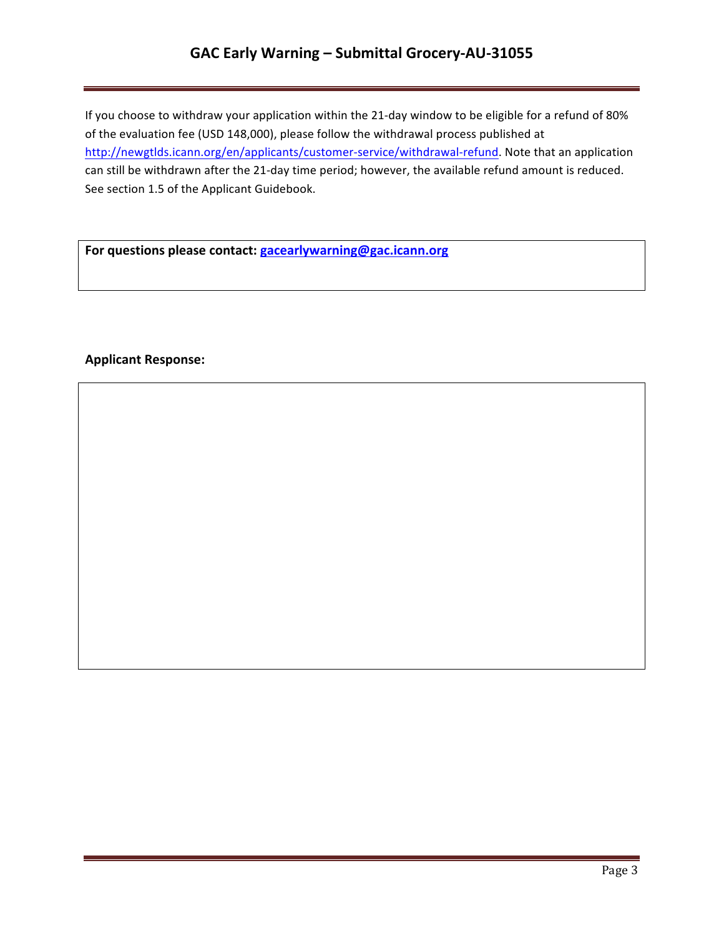# **GAC Early Warning – Submittal Grocery-AU-31055**

If you choose to withdraw your application within the 21-day window to be eligible for a refund of 80% of the evaluation fee (USD 148,000), please follow the withdrawal process published at http://newgtlds.icann.org/en/applicants/customer-service/withdrawal-refund. Note that an application can still be withdrawn after the 21-day time period; however, the available refund amount is reduced. See section 1.5 of the Applicant Guidebook.

For questions please contact: **gacearlywarning@gac.icann.org** 

### **Applicant Response:**